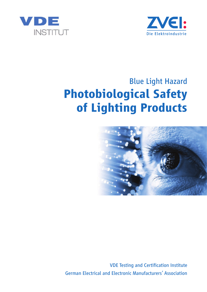



# Blue Light Hazard **Photobiological Safety of Lighting Products**



VDE Testing and Certification Institute German Electrical and Electronic Manufacturers' Association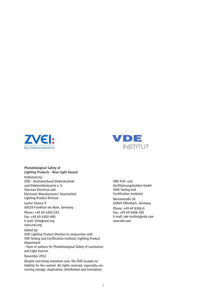



*Photobiological Safety of Lighting Products - Blue Light Hazard*

Published by: ZVEI - Zentralverband Elektrotechnikund Elektronikindustrie e. V. (German Electrical and Electronic Manufacturers' Association) Lighting Product Division

Lyoner Strasse 9 60528 Frankfurt am Main, Germany

Phone: +49 69 6302-293 Fax: +49 69 6302-400 E-mail: licht@zvei.org www.zvei.org

Edited by:

ZVEI Lighting Product Division in conjunction with VDE Testing and Certification Institute, Lighting Product Department

- Team of authors for Photobiological Safety of Luminaires and Light Sources

#### November 2012

Despite exercising maximum care, the ZVEI accepts no liability for the content. All rights reserved, especially concerning storage, duplication, distribution and translation.

VDE Prüf- und Zertifizierungsinstitut GmbH (VDE Testing and Certification Institute) Merianstraße 28 63069 Offenbach, Germany Phone: +49 69 8306-0 Fax: +49 69 8306-582 E-mail: vde-institut@vde.com www.vde.com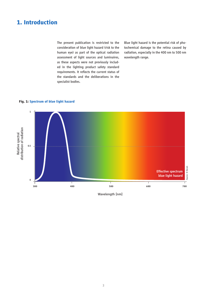# **1. Introduction**

The present publication is restricted to the consideration of blue light hazard (risk to the human eye) as part of the optical radiation assessment of light sources and luminaires, as these aspects were not previously included in the lighting product safety standard requirements. It reflects the current status of the standards and the deliberations in the specialist bodies.

Blue light hazard is the potential risk of photochemical damage to the retina caused by radiation, especially in the 400 nm to 500 nm wavelength range.

#### **Fig. 1: Spectrum of blue light hazard**



Wavelength [nm]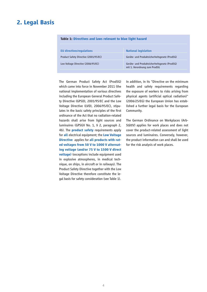### **2. Legal Basis**

| <b>EU directives/regulations</b>      | <b>National legislation</b>                                                   |
|---------------------------------------|-------------------------------------------------------------------------------|
| Product Safety Directive (2001/95/EC) | Geräte- und Produktsicherheitsgesetz (ProdSG)                                 |
| Low Voltage Directive (2006/95/EC)    | Geräte- und Produktsicherheitsgesetz (ProdSG)<br>mit 1. Verordnung zum ProdSG |

#### **Table 1: Directives and laws relevant to blue light hazard**

The German Product Safety Act (ProdSG) which came into force in November 2011 (the national implementation of various directives including the European General Product Safety Directive (GPSD), 2001/95/EC and the Low Voltage Directive (LVD), 2006/95/EC), stipulates in the basic safety principles of the first ordinance of the Act that no radiation-related hazards shall arise from light sources and luminaires (GPSGV No. 1, § 2, paragraph 2, 4b). The **product safety** requirements apply for **all** electrical equipment; the **Low Voltage Directive** applies for **all products with rated voltages from 50 V to 1000 V alternating voltage (and/or 75 V to 1500 V direct voltage)** (exceptions include equipment used in explosive atmospheres, in medical technique, on ships, in aircraft or in railways). The Product Safety Directive together with the Low Voltage Directive therefore constitute the legal basis for safety consideration (see Table 1).

In addition, in its "Directive on the minimum health and safety requirements regarding the exposure of workers to risks arising from physical agents (artificial optical radiation)" (2006/25/EG) the European Union has established a further legal basis for the European Community.

The German Ordinance on Workplaces (Arb-StättV) applies for work places and does not cover the product-related assessment of light sources and luminaires. Conversely, however, the product information can and shall be used for the risk analysis of work places.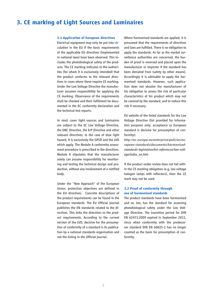### **3. CE marking of Light Sources and Luminaires**

#### **3.1 Application of European directives**

Electrical equipment may only be put into circulation in the EU if the basic requirements of the applicable EU directives (implemented in national laws) have been observed. This includes the photobiological safety of the products. The CE marking indicates to the authorities (for whom it is exclusively intended) that the product conforms to the relevant directives in cases where these require CE marking. Under the Low Voltage Directive the manufacturer assumes responsibility for applying the CE marking. Observance of the requirements shall be checked and their fulfilment be documented in the EC conformity declaration and the technical test reports.

In most cases light sources and luminaires are subject to the EC Low Voltage Directive, the EMC Directive, the ErP Directive and other relevant directives; in the case of blue light hazard, it is exclusively the GPSD and the LVD which apply. The Module A conformity assessment procedure is prescribed in the directives. Module A stipulates that the manufacturer solely can assume responsibility for monitoring and testing the technical design and production, without any involvement of a notified body.

Under the "New Approach" of the European Union, protection objectives are defined in the EU directives. Concrete descriptions of the product requirements can be found in the European standards. The EU Official Journal publishes the EN standards related to the directives. This links the directives to the product requirements. According to the current version of the LVD, decisive for the presumption of conformity of a standard is its publication by a national standards organisation and not the listing in the Official Journal.

Where harmonised standards are applied, it is presumed that the requirements of directives and laws are fulfilled. There is no obligation to apply the standards. As far as the market surveillance authorities are concerned, the burden of proof is reversed and placed upon the manufacturer or importer if the standard has been deviated from (safety by other means). Accordingly it is advisable to apply the harmonised standards. However, such application does not absolve the manufacturer of his obligation to assess the risk of particular characteristics of his product which may not be covered by the standard, and to reduce this risk if necessary.

EU website of the listed standards for the Low Voltage Directive (list provided for information purposes only; acceptance as European standard is decisive for presumption of conformity):

*http://ec.europa.eu/enterprise/policies/european-standards/documents/harmonisedstandards-legislation/list-references/low-voltage/index\_en.htm* 

If the product under review does not fall within the CE marking obligation (e.g. low voltage halogen lamps with reflectors), then the CE mark may not be used.

#### **3.2 Proof of conformity through use of harmonised standards**

The product standards have been harmonised and so, too, has the standard for assessing photobiological safety under the Low Voltage Directive. The transition period for DIN EN 62471:2009 expired in September 2011, since when conformity with the predecessor standard DIN EN 60825-1 has no longer counted as the basis for presumption of conformity.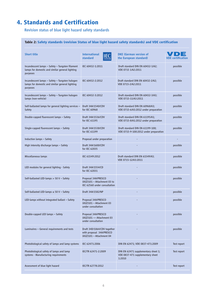# **4. Standards and Certification**

Revision status of blue light hazard safety standards

### **Table 2: Safety standards (revision Status of blue light hazard safety standards) and VDE certification**

| <b>Short title</b>                                                                                             | <b>International</b><br>standard                                                    | <b>DKE (German version of</b><br>the European standard)                           | <b>VDE</b> certification |
|----------------------------------------------------------------------------------------------------------------|-------------------------------------------------------------------------------------|-----------------------------------------------------------------------------------|--------------------------|
| Incandescent lamps - Safety - Tungsten filament<br>lamps for domestic and similar general lighting<br>purposes | IEC 60432-1:2011                                                                    | Draft standard DIN EN 60432-1/A2;<br>VDE 0715 1/A2:2011                           | possible                 |
| Incandescent lamps - Safety - Tungsten halogen<br>lamps for domestic and similar general lighting<br>purposes  | IEC 60432-2:2012                                                                    | Draft standard DIN EN 60432-2/A2;<br>VDE 0715-2/A2:2011                           | possible                 |
| Incandescent lamps - Safety - Tungsten halogen<br>lamps (non-vehicle)                                          | IEC 60432-3:2012                                                                    | Draft standard DIN EN 60432-3/A3;<br>VDE 0715-11/A3:2011                          | possible                 |
| Self-ballasted lamps for general lighting services -<br>Safety                                                 | Draft 34A/1540/CDV<br>for IEC 60968                                                 | Draft standard DIN EN 60968/A3;<br>VDE 0715-6/A3:2012 under preparation           | possible                 |
| Double-capped fluorescent lamps - Safety                                                                       | Draft 34A/1536/CDV<br>for IEC 61195                                                 | Draft standard DIN EN 61195/A1;<br>VDE 0715-8/A1:2012 under preparation           | possible                 |
| Single-capped fluorescent lamps - Safety                                                                       | Draft 34A/1538/CDV<br>for IEC 61199                                                 | Draft standard DIN EN 61199-100;<br>VDE 0715-9-100:2012 under preparation         | possible                 |
| Induction lamps - Safety                                                                                       | Proposal under preparation                                                          |                                                                                   |                          |
| High intensity discharge lamps - Safety                                                                        | Draft 34A/1600/CDV<br>for IEC 62035                                                 |                                                                                   | possible                 |
| Miscellaneous lamps                                                                                            | IEC 61549:2012                                                                      | Draft standard DIN EN 61549/A3;<br>VDE 0715-12/A3:2011                            | possible                 |
| LED modules for general lighting - Safety                                                                      | Draft 34A/1554/CD<br>for IEC 62031                                                  |                                                                                   | possible                 |
| Self-ballasted LED-lamps > 50 V - Safety                                                                       | Proposal 34A/PRESCO<br>(ASZ)101 - Attachment 03 to<br>IEC 62560 under consultation  |                                                                                   | possible                 |
| Self-ballasted LED-lamps $\leq$ 50 V - Safety                                                                  | Draft 34A/1582/NP                                                                   |                                                                                   | possible                 |
| LED-lamps without integrated ballast - Safety                                                                  | Proposal 34A/PRESCO<br>(ASZ)101 - Attachment 03<br>under consultation               |                                                                                   | possible                 |
| Double-capped LED lamps - Safety                                                                               | Proposal 34A/PRESCO<br>(ASZ)101 - Attachment 03<br>under consultation               |                                                                                   | possible                 |
| Luminaires - General requirements and tests                                                                    | Draft 34D/1064/CDV together<br>with proposal 34A/PRESCO<br>(ASZ)101 - Attachment 04 |                                                                                   | possible                 |
| Photobiological safety of lamps and lamp systems                                                               | IEC 62471:2006                                                                      | DIN EN 62471; VDE 0837-471:2009                                                   | Test report              |
| Photobiological safety of lamps and lamp<br>systems - Manufacturing requirements                               | IEC/TR 62471-2:2009                                                                 | DIN EN 62471 supplementary sheet 1;<br>VDE 0837-471 supplementary sheet<br>1:2010 | Test report              |
| Assessment of blue light hazard                                                                                | IEC/TR 62778:2012                                                                   |                                                                                   | Test report              |
|                                                                                                                |                                                                                     |                                                                                   |                          |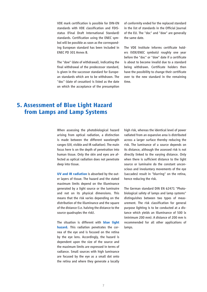VDE mark certification is possible for DIN-EN standards with VDE classification and FDISstatus (Final Draft International Standard) standards. Certification using the ENEC symbol will be possible as soon as the corresponding European standard has been included in ENEC PD 301 Annex B.

The "dow" (date of withdrawal), indicating the final withdrawal of the predecessor standard, is given in the successor standard for European standards which are to be withdrawn. The "doc" (date of cessation) is listed as the date on which the acceptance of the presumption

of conformity ended for the replaced standard in the list of standards in the Official Journal of the EU. The "doc" and "dow" are generally the same date.

The VDE Institute informs certificate holders (VDE/ENEC symbols) roughly one year before the "doc" or "dow" date if a certificate is about to become invalid due to a standard being withdrawn. Certificate holders then have the possibility to change their certificate over to the new standard in the remaining time.

### **5. Assessment of Blue Light Hazard from Lamps and Lamp Systems**

When assessing the photobiological hazard arising from optical radiation, a distinction is made between the different wavelength ranges (UV, visible and IR radiation). The main focus here is on the depth of penetration into human tissue. Only the skin and eyes are affected as optical radiation does not penetrate deep into tissue.

**UV and IR radiation** is absorbed by the outer layers of tissue. The hazard and the stated maximum limits depend on the illuminance generated by a light source or the luminaire and not on its physical dimensions. This means that the risk varies depending on the distribution of the illuminance and the square of the distance (i.e. halving the distance to the source quadruples the risk).

The situation is different with **blue light hazard.** This radiation penetrates the cornea of the eye and is focused on the retina by the eye lens. Accordingly, the hazard is dependent upon the size of the source and the maximum limits are expressed in terms of radiance. Small sources with high luminance are focused by the eye as a small dot onto the retina and where they generate a locally high risk, whereas the identical level of power radiated from an expansive area is distributed across a larger surface thereby reducing the risk. The luminance of a source depends on its distance, although the assessed risk is not directly linked to the varying distance. Only when there is sufficient distance to the light source or luminaire do the constant unconscious and involuntary movements of the eye (saccades) result in "blurring" on the retina, hence reducing the risk.

The German standard DIN EN 62471 "Photobiological safety of lamps and lamp systems" distinguishes between two types of measurement. The risk classification for general purpose lighting is to be conducted at a distance which yields an illuminance of 500 lx (minimum 200 mm). A distance of 200 mm is recommended for all other applications of lamps.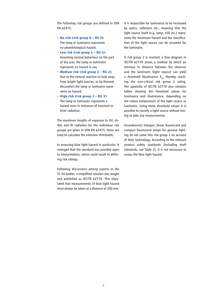The following risk groups are defined in DIN EN 62471:

- **No risk (risk group 0 RG 0):** The lamp or luminaire represents no photobiological hazard.
- **Low risk (risk group 1 RG 1):** Assuming normal behaviour on the part of the user, the lamp or luminaire represents no hazard is use.
- **Medium risk (risk group 2 RG 2):** Due to the natural reaction to look away from bright light sources, or by thermal discomfort the lamp or luminaire repre sents no hazard.
- **High risk (risk group 3 RG 3):** The lamp or luminaire represents a hazard even in instances of transient or brief radiation.

The maximum lengths of exposure to UV, visible and IR radiation for the individual risk groups are given in DIN EN 62471; these are used to calculate the emission thresholds.

In assessing blue light hazard in particular, it emerged that the standard was possibly open to interpretation, which could result in differing risk ratings.

Following discussions among experts in the TC-34 bodies, a simplified solution was sought and published as IEC/TR 62778. This stipulated that measurements of blue light hazard must always be taken at a distance of 200 mm.

It is impossible for luminance to be increased by optics, reflectors etc., meaning that the light source itself (e.g. lamp, LED etc.) represents the maximum hazard and the classification of the light source can be assumed for the luminaire.

If risk group 2 is reached, a flow diagram in IEC/TR 62778 shows a method by which an increase in distance between the observer and the luminaire (light source) can yield a threshold illuminance  $E_{thr}$  thereby reaching the non-critical risk group 1 rating. The appendix of IEC/TR 62778 also contains tables showing the threshold values for luminance and illuminance, depending on the colour temperature of the light source or luminaire. Using these threshold values it is possible to classify a light source without having to take any measurements.

Incandescent, halogen, linear fluorescent and compact fluorescent lamps for general lighting do not come into risk group 2 on account of their technology. According to the relevant product safety standards (including draft standards, see Table 2), it is not necessary to assess the blue light hazard.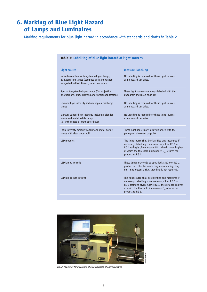# **6. Marking of Blue Light Hazard of Lamps and Luminaires**

Marking requirements for blue light hazard in accordance with standards and drafts in Table 2

| Table 3: Labelling of blue light hazard of light sources                                                                                        |                                                                                                                                                                                                                                                        |  |
|-------------------------------------------------------------------------------------------------------------------------------------------------|--------------------------------------------------------------------------------------------------------------------------------------------------------------------------------------------------------------------------------------------------------|--|
| <b>Light source</b>                                                                                                                             | <b>Measure, labelling</b>                                                                                                                                                                                                                              |  |
| Incandescent lamps, tungsten halogen lamps,<br>all fluorescent lamps (compact, with and without<br>integrated ballast, linear), induction lamps | No labelling is required for these light sources<br>as no hazard can arise.                                                                                                                                                                            |  |
| Special tungsten halogen lamps (for projection<br>photography, stage lighting and special applications)                                         | These light sources are always labelled with the<br>pictogram shown on page 10.                                                                                                                                                                        |  |
| Low and high intensity sodium-vapour discharge<br>lamps                                                                                         | No labelling is required for these light sources<br>as no hazard can arise.                                                                                                                                                                            |  |
| Mercury vapour high intensity including blended<br>lamps and metal halide lamps<br>(all with coated or matt outer bulb)                         | No labelling is required for these light sources<br>as no hazard can arise.                                                                                                                                                                            |  |
| High-intensity mercury vapour and metal halide<br>lamps with clear outer bulb                                                                   | These light sources are always labelled with the<br>pictogram shown on page 10.                                                                                                                                                                        |  |
| <b>LED</b> modules                                                                                                                              | The light source shall be classified and measured if<br>necessary. Labelling is not necessary if an RG 0 or<br>RG 1 rating is given. Above RG 1, the distance is given<br>at which the threshold illuminance $E_{thr}$ returns the<br>product to RG 1. |  |
| LED lamps, retrofit                                                                                                                             | These lamps may only be specified as RG 0 or RG 1<br>products as, like the lamps they are replacing, they<br>must not present a risk. Labelling is not required.                                                                                       |  |
| LED lamps, non-retrofit                                                                                                                         | The light source shall be classified and measured if<br>necessary. Labelling is not necessary if an RG 0 or<br>RG 1 rating is given. Above RG 1, the distance is given<br>at which the threshold illuminance $E_{thr}$ returns the<br>product to RG 1. |  |



*Fig. 2: Apparatus for measuring photobiologically effective radiation*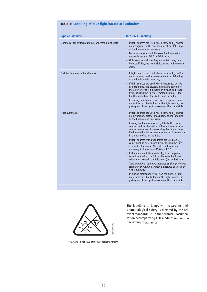| Table 4: Labelling of blue light hazard of luminaires |  |  |  |  |  |  |
|-------------------------------------------------------|--|--|--|--|--|--|
|-------------------------------------------------------|--|--|--|--|--|--|

| <b>Type of luminaire</b>                             | <b>Measures, labelling</b>                                                                                                                                                                                                                                                                                                                                                           |
|------------------------------------------------------|--------------------------------------------------------------------------------------------------------------------------------------------------------------------------------------------------------------------------------------------------------------------------------------------------------------------------------------------------------------------------------------|
| Luminaires for children, mains connected nightlights | • If light sources are used which carry no $E_{thr}$ and/or<br>no pictogram, neither measurement nor labelling<br>of the luminaire is necessary.<br>• For safety reasons, a fully assembled luminaire<br>may only have an RG 0 or RG 1 rating.<br>• Light sources with a rating above RG 1 may only                                                                                  |
|                                                      | be used if they are not visible during maintenance<br>work.                                                                                                                                                                                                                                                                                                                          |
| Portable luminaires, hand lamps                      | • If light sources are used which carry no $E_{thr}$ and/or<br>no pictogram, neither measurement nor labelling<br>of the luminaire is necessary.<br>• If light sources are used which feature $E_{\text{thr}}$ details<br>or pictograms, the pictogram must be applied to<br>the exterior of the luminaire or it must be proved,<br>by measuring the fully assembled luminaire, that |
|                                                      | the threshold limit for RG 1 is not exceeded.                                                                                                                                                                                                                                                                                                                                        |
|                                                      | • If, during maintenance work on the opened lumi-<br>naire, it is possible to look at the light source, the<br>pictogram of the light source must then be visible                                                                                                                                                                                                                    |
| <b>Fixed luminaires</b>                              | If light sources are used which carry no $E_{thr}$ and/or<br>no pictograph, neither measurement nor labelling<br>of the luminaire is necessary.<br>• If using light sources with $E_{thr}$ details, this figure<br>can be used for the written information or a value<br>can be determined by measuring the fully assem-<br>bled luminaire. No written information is necessary      |
|                                                      | in the case of RG 0 and RG 1.<br>• If light sources with pictograms are used, an $E_{thr}$<br>value must be determined by measuring the fully<br>assembled luminaire. No written information is<br>necessary in the case of RG 0 and RG 1.                                                                                                                                           |
|                                                      | • If the equivalent distance for $E_{thr}$ in a completely<br>sealed luminaire is $> 0.2$ m, the assembly instru-<br>ctions must contain the following (or similar) note:                                                                                                                                                                                                            |
|                                                      | "The luminaire should be mounted so that prolonged<br>staring at the luminaire from a distance of less than<br>x m is unlikely."                                                                                                                                                                                                                                                     |
|                                                      | • If, during maintenance work on the opened lumi-<br>naire, it is possible to look at the light source, the<br>pictogram of the light source must then be visible.                                                                                                                                                                                                                   |



The labelling of lamps with regard to their photobiological safety is dictated by the relevant standard; i.e. in the technical documentation accompanying LED modules and on the packaging of all lamps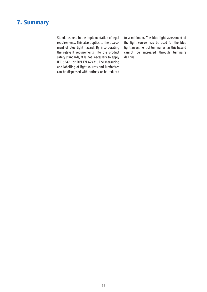## **7. Summary**

Standards help in the implementation of legal requirements. This also applies to the assessment of blue light hazard. By incorporating the relevant requirements into the product safety standards, it is not necessary to apply IEC 62471 or DIN EN 62471. The measuring and labelling of light sources and luminaires can be dispensed with entirely or be reduced

to a minimum. The blue light assessment of the light source may be used for the blue light assessment of luminaires, as this hazard cannot be increased through luminaire designs.